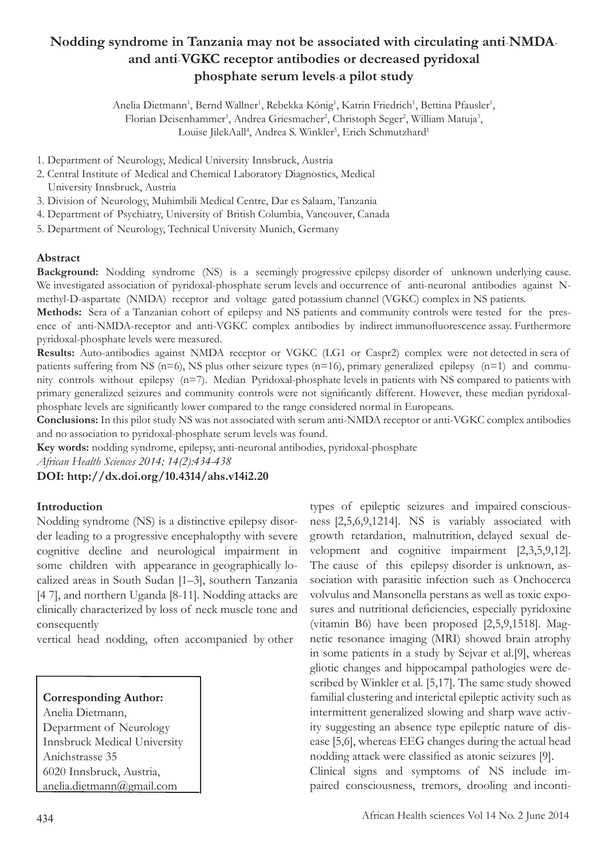# **Nodding syndrome in Tanzania may not be associated with circulating anti**-**NMDAand anti**-**VGKC receptor antibodies or decreased pyridoxal phosphate serum levels**-**a pilot study**

Anelia Dietmann<sup>1</sup>, Bernd Wallner<sup>1</sup>, Rebekka König<sup>1</sup>, Katrin Friedrich<sup>1</sup>, Bettina Pfausler<sup>1</sup>, Florian Deisenhammer<sup>1</sup>, Andrea Griesmacher<sup>2</sup>, Christoph Seger<sup>2</sup>, William Matuja<sup>3</sup>, Louise JilekAall<sup>4</sup>, Andrea S. Winkler<sup>5</sup>, Erich Schmutzhard<sup>1</sup>

1. Department of Neurology, Medical University Innsbruck, Austria

- 2. Central Institute of Medical and Chemical Laboratory Diagnostics, Medical University Innsbruck, Austria
- 3. Division of Neurology, Muhimbili Medical Centre, Dar es Salaam, Tanzania

4. Department of Psychiatry, University of British Columbia, Vancouver, Canada

5. Department of Neurology, Technical University Munich, Germany

#### **Abstract**

**Background:** Nodding syndrome (NS) is a seemingly progressive epilepsy disorder of unknown underlying cause. We investigated association of pyridoxal-phosphate serum levels and occurrence of anti-neuronal antibodies against Nmethyl-D-aspartate (NMDA) receptor and voltage gated potassium channel (VGKC) complex in NS patients.

**Methods:** Sera of a Tanzanian cohort of epilepsy and NS patients and community controls were tested for the presence of anti-NMDA-receptor and anti-VGKC complex antibodies by indirect immunofluorescence assay. Furthermore pyridoxal-phosphate levels were measured.

**Results:** Auto-antibodies against NMDA receptor or VGKC (LG1 or Caspr2) complex were not detected in sera of patients suffering from NS ( $n=6$ ), NS plus other seizure types ( $n=16$ ), primary generalized epilepsy ( $n=1$ ) and community controls without epilepsy (n=7). Median Pyridoxal-phosphate levels in patients with NS compared to patients with primary generalized seizures and community controls were not significantly different. However, these median pyridoxalphosphate levels are significantly lower compared to the range considered normal in Europeans.

**Conclusions:** In this pilot study NS was not associated with serum anti-NMDA receptor or anti-VGKC complex antibodies and no association to pyridoxal-phosphate serum levels was found.

**Key words:** nodding syndrome, epilepsy, anti-neuronal antibodies, pyridoxal-phosphate

*African Health Sciences 2014; 14(2):434-438*

**DOI: http://dx.doi.org/10.4314/ahs.v14i2.20**

#### **Introduction**

Nodding syndrome (NS) is a distinctive epilepsy disorder leading to a progressive encephalopthy with severe cognitive decline and neurological impairment in some children with appearance in geographically localized areas in South Sudan [1–3], southern Tanzania [4 7], and northern Uganda [8-11]. Nodding attacks are clinically characterized by loss of neck muscle tone and consequently

vertical head nodding, often accompanied by other

# **Corresponding Author:**

 Anelia Dietmann, Department of Neurology Innsbruck Medical University Anichstrasse 35 6020 Innsbruck, Austria, anelia.dietmann@gmail.com

types of epileptic seizures and impaired consciousness [2,5,6,9,1214]. NS is variably associated with growth retardation, malnutrition, delayed sexual development and cognitive impairment [2,3,5,9,12]. The cause of this epilepsy disorder is unknown, association with parasitic infection such as Onchocerca volvulus and Mansonella perstans as well as toxic exposures and nutritional deficiencies, especially pyridoxine (vitamin B6) have been proposed [2,5,9,1518]. Magnetic resonance imaging (MRI) showed brain atrophy in some patients in a study by Sejvar et al.[9], whereas gliotic changes and hippocampal pathologies were described by Winkler et al. [5,17]. The same study showed familial clustering and interictal epileptic activity such as intermittent generalized slowing and sharp wave activity suggesting an absence type epileptic nature of disease [5,6], whereas EEG changes during the actual head nodding attack were classified as atonic seizures [9].

Clinical signs and symptoms of NS include impaired consciousness, tremors, drooling and inconti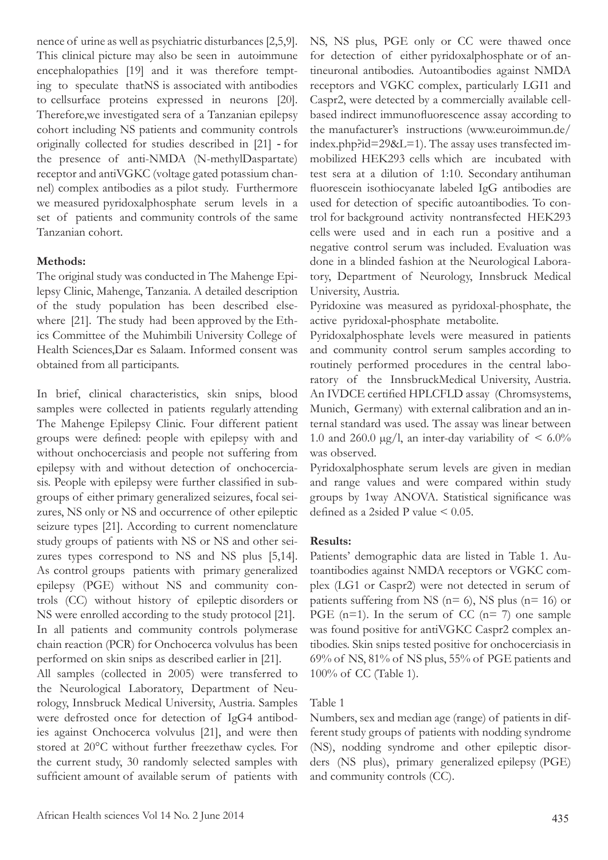nence of urine as well as psychiatric disturbances [2,5,9]. This clinical picture may also be seen in autoimmune encephalopathies [19] and it was therefore tempting to speculate thatNS is associated with antibodies to cellsurface proteins expressed in neurons [20]. Therefore,we investigated sera of a Tanzanian epilepsy cohort including NS patients and community controls originally collected for studies described in [21] - for the presence of anti-NMDA (N-methylDaspartate) receptor and antiVGKC (voltage gated potassium channel) complex antibodies as a pilot study. Furthermore we measured pyridoxalphosphate serum levels in a set of patients and community controls of the same Tanzanian cohort.

# **Methods:**

The original study was conducted in The Mahenge Epilepsy Clinic, Mahenge, Tanzania. A detailed description of the study population has been described elsewhere [21]. The study had been approved by the Ethics Committee of the Muhimbili University College of Health Sciences,Dar es Salaam. Informed consent was obtained from all participants.

In brief, clinical characteristics, skin snips, blood samples were collected in patients regularly attending The Mahenge Epilepsy Clinic. Four different patient groups were defined: people with epilepsy with and without onchocerciasis and people not suffering from epilepsy with and without detection of onchocerciasis. People with epilepsy were further classified in subgroups of either primary generalized seizures, focal seizures, NS only or NS and occurrence of other epileptic seizure types [21]. According to current nomenclature study groups of patients with NS or NS and other seizures types correspond to NS and NS plus [5,14]. As control groups patients with primary generalized epilepsy (PGE) without NS and community controls (CC) without history of epileptic disorders or NS were enrolled according to the study protocol [21]. In all patients and community controls polymerase chain reaction (PCR) for Onchocerca volvulus has been performed on skin snips as described earlier in [21].

All samples (collected in 2005) were transferred to the Neurological Laboratory, Department of Neurology, Innsbruck Medical University, Austria. Samples were defrosted once for detection of IgG4 antibodies against Onchocerca volvulus [21], and were then stored at 20°C without further freezethaw cycles. For the current study, 30 randomly selected samples with sufficient amount of available serum of patients with

NS, NS plus, PGE only or CC were thawed once for detection of either pyridoxalphosphate or of antineuronal antibodies. Autoantibodies against NMDA receptors and VGKC complex, particularly LGI1 and Caspr2, were detected by a commercially available cellbased indirect immunofluorescence assay according to the manufacturer's instructions (www.euroimmun.de/ index.php?id=29&L=1). The assay uses transfected immobilized HEK293 cells which are incubated with test sera at a dilution of 1:10. Secondary antihuman fluorescein isothiocyanate labeled IgG antibodies are used for detection of specific autoantibodies. To control for background activity nontransfected HEK293 cells were used and in each run a positive and a negative control serum was included. Evaluation was done in a blinded fashion at the Neurological Laboratory, Department of Neurology, Innsbruck Medical University, Austria.

Pyridoxine was measured as pyridoxal-phosphate, the active pyridoxal-phosphate metabolite.

Pyridoxalphosphate levels were measured in patients and community control serum samples according to routinely performed procedures in the central laboratory of the InnsbruckMedical University, Austria. An IVDCE certified HPLCFLD assay (Chromsystems, Munich, Germany) with external calibration and an internal standard was used. The assay was linear between 1.0 and 260.0  $\mu$ g/l, an inter-day variability of < 6.0% was observed.

Pyridoxalphosphate serum levels are given in median and range values and were compared within study groups by 1way ANOVA. Statistical significance was defined as a 2sided P value < 0.05.

#### **Results:**

Patients' demographic data are listed in Table 1. Autoantibodies against NMDA receptors or VGKC complex (LG1 or Caspr2) were not detected in serum of patients suffering from NS ( $n= 6$ ), NS plus ( $n= 16$ ) or PGE ( $n=1$ ). In the serum of CC ( $n=7$ ) one sample was found positive for antiVGKC Caspr2 complex antibodies. Skin snips tested positive for onchocerciasis in 69% of NS, 81% of NS plus, 55% of PGE patients and 100% of CC (Table 1).

#### Table 1

Numbers, sex and median age (range) of patients in different study groups of patients with nodding syndrome (NS), nodding syndrome and other epileptic disorders (NS plus), primary generalized epilepsy (PGE) and community controls (CC).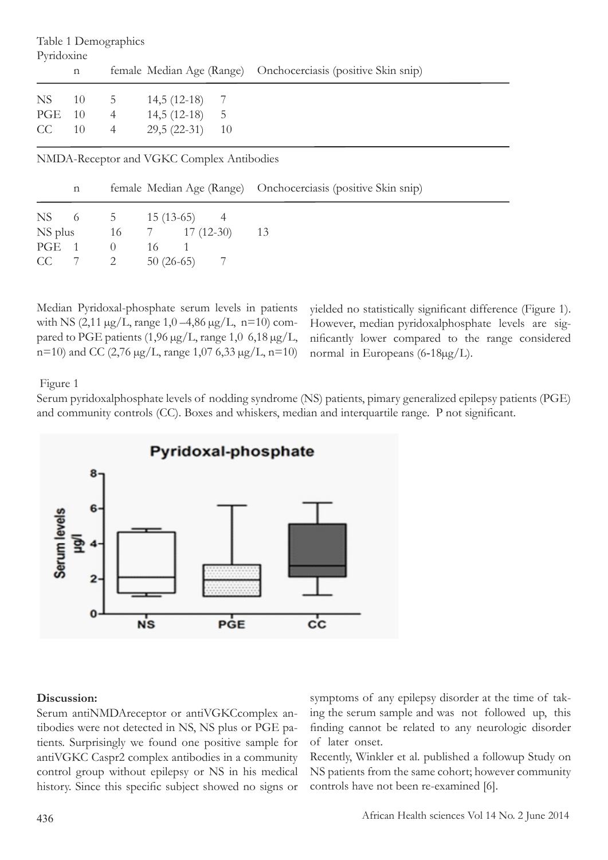| Table 1 Demographics<br>Pyridoxine |               |                |               |    |                                                               |  |  |  |  |  |
|------------------------------------|---------------|----------------|---------------|----|---------------------------------------------------------------|--|--|--|--|--|
|                                    | n             |                |               |    | female Median Age (Range) Onchocerciasis (positive Skin snip) |  |  |  |  |  |
| NS                                 | <sup>10</sup> | 5              | $14,5(12-18)$ | 7  |                                                               |  |  |  |  |  |
| PGE                                | -10           | $\overline{4}$ | $14,5(12-18)$ | -5 |                                                               |  |  |  |  |  |
| CC                                 | 10            | $\overline{4}$ | $29,5(22-31)$ | 10 |                                                               |  |  |  |  |  |
|                                    |               |                |               |    |                                                               |  |  |  |  |  |

NMDA-Receptor and VGKC Complex Antibodies

 $CC$  7 2 50 (26-65) 7

|         | $\mathbf n$ |             |                                   | female Median Age (Range) Onchocerciasis (positive Skin snip) |
|---------|-------------|-------------|-----------------------------------|---------------------------------------------------------------|
|         |             |             | NS 6 5 15 (13-65) 4               |                                                               |
| NS plus |             |             | $16 \qquad 7 \qquad 17 \ (12-30)$ |                                                               |
|         |             | $PGE = 1$ 0 |                                   |                                                               |

Median Pyridoxal-phosphate serum levels in patients with NS (2,11  $\mu$ g/L, range 1,0 –4,86  $\mu$ g/L, n=10) compared to PGE patients  $(1,96 \,\mu g/L,$  range  $1,0,6,18 \,\mu g/L,$ n=10) and CC (2,76  $\mu$ g/L, range 1,07 6,33  $\mu$ g/L, n=10)

yielded no statistically significant difference (Figure 1). However, median pyridoxalphosphate levels are significantly lower compared to the range considered normal in Europeans (6-18µg/L).

Figure 1

Serum pyridoxalphosphate levels of nodding syndrome (NS) patients, pimary generalized epilepsy patients (PGE) and community controls (CC). Boxes and whiskers, median and interquartile range. P not significant.



#### **Discussion:**

Serum antiNMDAreceptor or antiVGKCcomplex antibodies were not detected in NS, NS plus or PGE patients. Surprisingly we found one positive sample for antiVGKC Caspr2 complex antibodies in a community control group without epilepsy or NS in his medical history. Since this specific subject showed no signs or

symptoms of any epilepsy disorder at the time of taking the serum sample and was not followed up, this finding cannot be related to any neurologic disorder of later onset.

Recently, Winkler et al. published a followup Study on NS patients from the same cohort; however community controls have not been re-examined [6].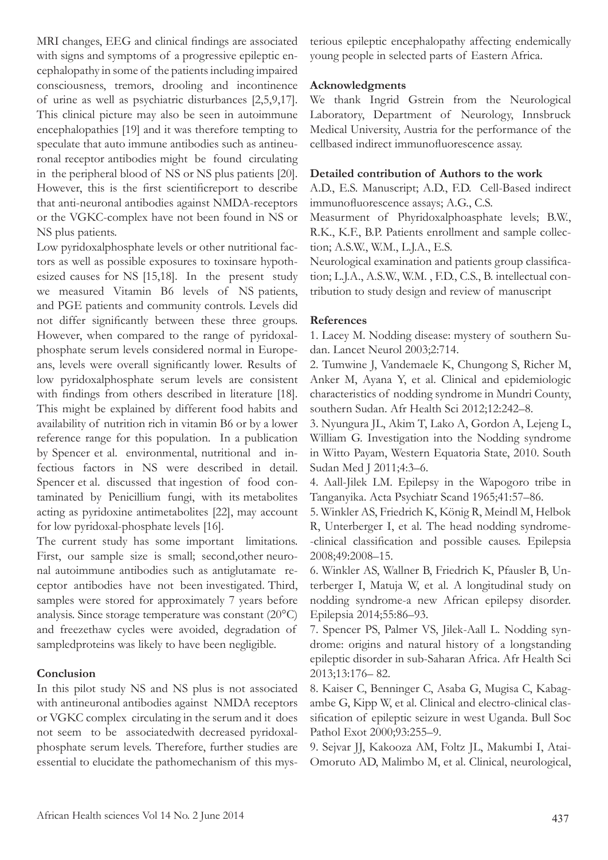MRI changes, EEG and clinical findings are associated with signs and symptoms of a progressive epileptic encephalopathy in some of the patients including impaired consciousness, tremors, drooling and incontinence of urine as well as psychiatric disturbances [2,5,9,17]. This clinical picture may also be seen in autoimmune encephalopathies [19] and it was therefore tempting to speculate that auto immune antibodies such as antineuronal receptor antibodies might be found circulating in the peripheral blood of NS or NS plus patients [20]. However, this is the first scientificreport to describe that anti-neuronal antibodies against NMDA-receptors or the VGKC-complex have not been found in NS or NS plus patients.

Low pyridoxalphosphate levels or other nutritional factors as well as possible exposures to toxinsare hypothesized causes for NS [15,18]. In the present study we measured Vitamin B6 levels of NS patients, and PGE patients and community controls. Levels did not differ significantly between these three groups. However, when compared to the range of pyridoxalphosphate serum levels considered normal in Europeans, levels were overall significantly lower. Results of low pyridoxalphosphate serum levels are consistent with findings from others described in literature [18]. This might be explained by different food habits and availability of nutrition rich in vitamin B6 or by a lower reference range for this population. In a publication by Spencer et al. environmental, nutritional and infectious factors in NS were described in detail. Spencer et al. discussed that ingestion of food contaminated by Penicillium fungi, with its metabolites acting as pyridoxine antimetabolites [22], may account for low pyridoxal-phosphate levels [16].

The current study has some important limitations. First, our sample size is small; second,other neuronal autoimmune antibodies such as antiglutamate receptor antibodies have not been investigated. Third, samples were stored for approximately 7 years before analysis. Since storage temperature was constant (20°C) and freezethaw cycles were avoided, degradation of sampledproteins was likely to have been negligible.

# **Conclusion**

In this pilot study NS and NS plus is not associated with antineuronal antibodies against NMDA receptors or VGKC complex circulating in the serum and it does not seem to be associatedwith decreased pyridoxalphosphate serum levels. Therefore, further studies are essential to elucidate the pathomechanism of this mysterious epileptic encephalopathy affecting endemically young people in selected parts of Eastern Africa.

## **Acknowledgments**

We thank Ingrid Gstrein from the Neurological Laboratory, Department of Neurology, Innsbruck Medical University, Austria for the performance of the cellbased indirect immunofluorescence assay.

#### **Detailed contribution of Authors to the work**

A.D., E.S. Manuscript; A.D., F.D. Cell-Based indirect immunofluorescence assays; A.G., C.S.

Measurment of Phyridoxalphoasphate levels; B.W., R.K., K.F., B.P. Patients enrollment and sample collection; A.S.W., W.M., L.J.A., E.S.

Neurological examination and patients group classification; L.J.A., A.S.W., W.M. , F.D., C.S., B. intellectual contribution to study design and review of manuscript

#### **References**

1. Lacey M. Nodding disease: mystery of southern Sudan. Lancet Neurol 2003;2:714.

2. Tumwine J, Vandemaele K, Chungong S, Richer M, Anker M, Ayana Y, et al. Clinical and epidemiologic characteristics of nodding syndrome in Mundri County, southern Sudan. Afr Health Sci 2012;12:242–8.

3. Nyungura JL, Akim T, Lako A, Gordon A, Lejeng L, William G. Investigation into the Nodding syndrome in Witto Payam, Western Equatoria State, 2010. South Sudan Med J 2011;4:3–6.

4. Aall-Jilek LM. Epilepsy in the Wapogoro tribe in Tanganyika. Acta Psychiatr Scand 1965;41:57–86.

5. Winkler AS, Friedrich K, König R, Meindl M, Helbok R, Unterberger I, et al. The head nodding syndrome- -clinical classification and possible causes. Epilepsia 2008;49:2008–15.

6. Winkler AS, Wallner B, Friedrich K, Pfausler B, Unterberger I, Matuja W, et al. A longitudinal study on nodding syndrome-a new African epilepsy disorder. Epilepsia 2014;55:86–93.

7. Spencer PS, Palmer VS, Jilek-Aall L. Nodding syndrome: origins and natural history of a longstanding epileptic disorder in sub-Saharan Africa. Afr Health Sci 2013;13:176– 82.

8. Kaiser C, Benninger C, Asaba G, Mugisa C, Kabagambe G, Kipp W, et al. Clinical and electro-clinical classification of epileptic seizure in west Uganda. Bull Soc Pathol Exot 2000;93:255–9.

9. Sejvar JJ, Kakooza AM, Foltz JL, Makumbi I, Atai-Omoruto AD, Malimbo M, et al. Clinical, neurological,